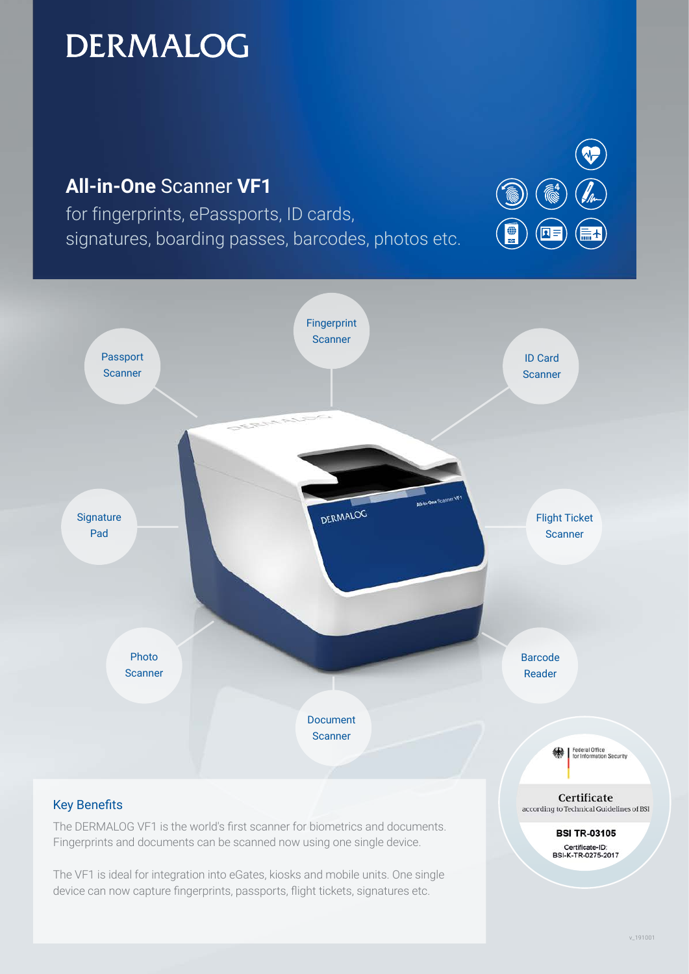# **DERMALOG**



The DERMALOG VF1 is the world's first scanner for biometrics and documents. Fingerprints and documents can be scanned now using one single device.

The VF1 is ideal for integration into eGates, kiosks and mobile units. One single device can now capture fingerprints, passports, flight tickets, signatures etc.

v\_191001

**BSI TR-03105** Certificate-ID:<br>BSI-K-TR-0275-2017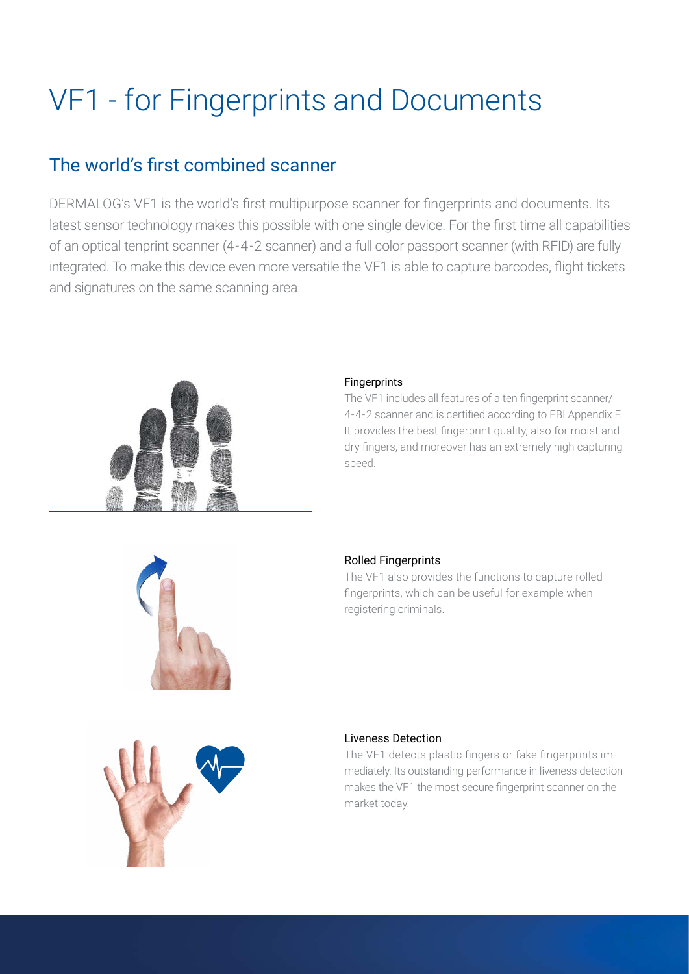# VF1 - for Fingerprints and Documents

### The world's first combined scanner

DERMALOG's VF1 is the world's first multipurpose scanner for fingerprints and documents. Its latest sensor technology makes this possible with one single device. For the first time all capabilities of an optical tenprint scanner (4-4-2 scanner) and a full color passport scanner (with RFID) are fully integrated. To make this device even more versatile the VF1 is able to capture barcodes, flight tickets and signatures on the same scanning area.



#### Fingerprints

The VF1 includes all features of a ten fingerprint scanner/ 4-4-2 scanner and is certified according to FBI Appendix F. It provides the best fingerprint quality, also for moist and dry fingers, and moreover has an extremely high capturing speed.



#### Rolled Fingerprints

The VF1 also provides the functions to capture rolled fingerprints, which can be useful for example when registering criminals.



#### Liveness Detection

The VF1 detects plastic fingers or fake fingerprints immediately. Its outstanding performance in liveness detection makes the VF1 the most secure fingerprint scanner on the market today.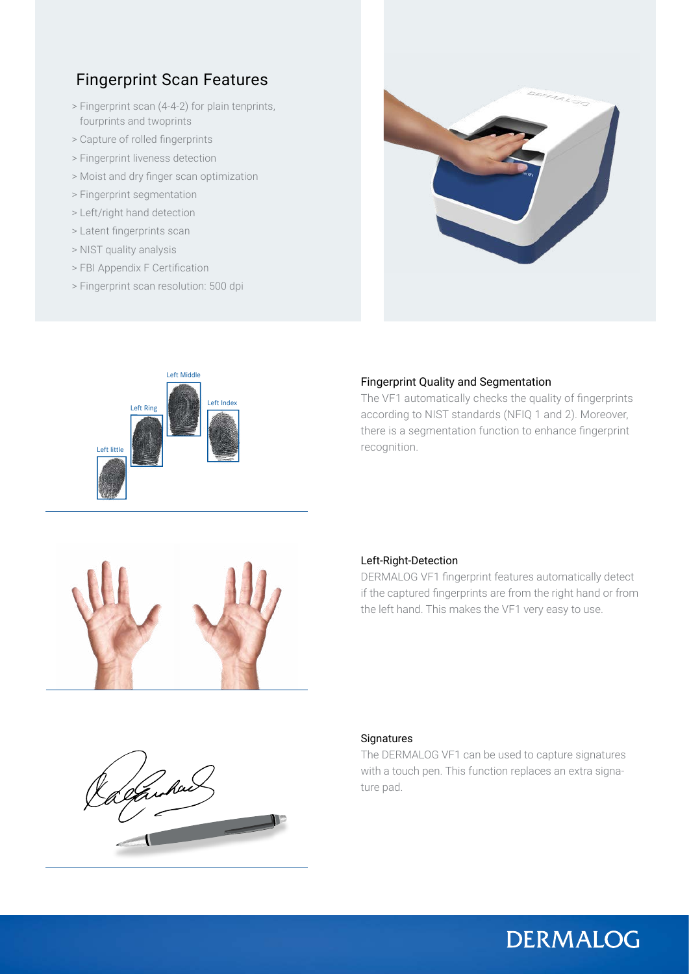### Fingerprint Scan Features

- > Fingerprint scan (4-4-2) for plain tenprints, fourprints and twoprints
- > Capture of rolled fingerprints
- > Fingerprint liveness detection
- > Moist and dry finger scan optimization
- > Fingerprint segmentation
- > Left/right hand detection
- > Latent fingerprints scan
- > NIST quality analysis
- > FBI Appendix F Certification
- > Fingerprint scan resolution: 500 dpi





#### Fingerprint Quality and Segmentation

The VF1 automatically checks the quality of fingerprints according to NIST standards (NFIQ 1 and 2). Moreover, there is a segmentation function to enhance fingerprint recognition.



#### Left-Right-Detection

DERMALOG VF1 fingerprint features automatically detect if the captured fingerprints are from the right hand or from the left hand. This makes the VF1 very easy to use.



#### **Signatures**

The DERMALOG VF1 can be used to capture signatures with a touch pen. This function replaces an extra signature pad.

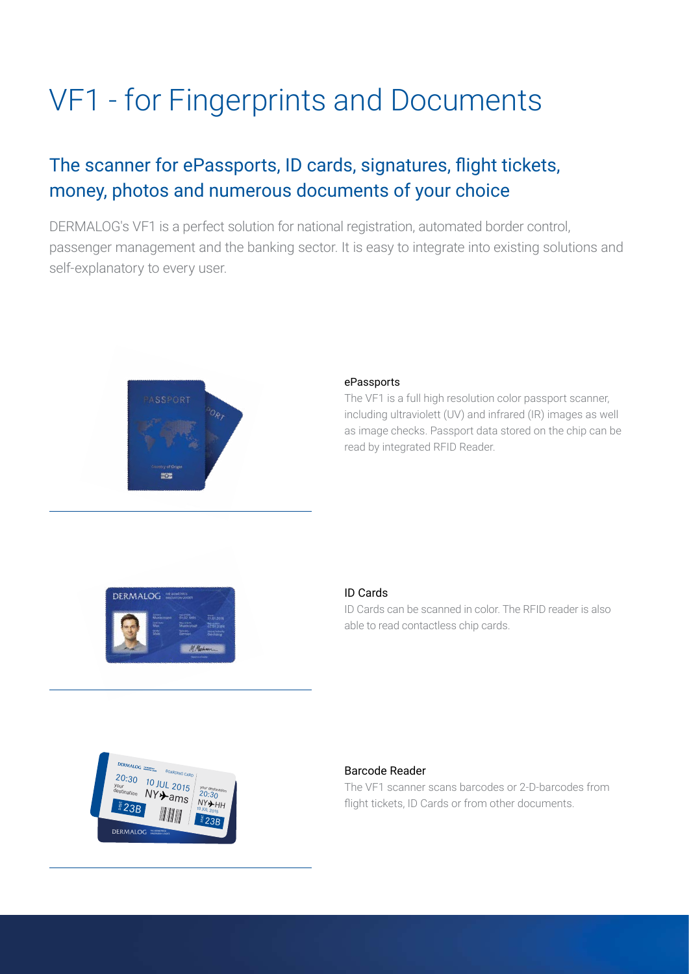# VF1 - for Fingerprints and Documents

# The scanner for ePassports, ID cards, signatures, flight tickets, money, photos and numerous documents of your choice

DERMALOG's VF1 is a perfect solution for national registration, automated border control, passenger management and the banking sector. It is easy to integrate into existing solutions and self-explanatory to every user.



#### ePassports

The VF1 is a full high resolution color passport scanner, including ultraviolett (UV) and infrared (IR) images as well as image checks. Passport data stored on the chip can be read by integrated RFID Reader.



#### ID Cards

ID Cards can be scanned in color. The RFID reader is also able to read contactless chip cards.



#### Barcode Reader

The VF1 scanner scans barcodes or 2-D-barcodes from flight tickets, ID Cards or from other documents.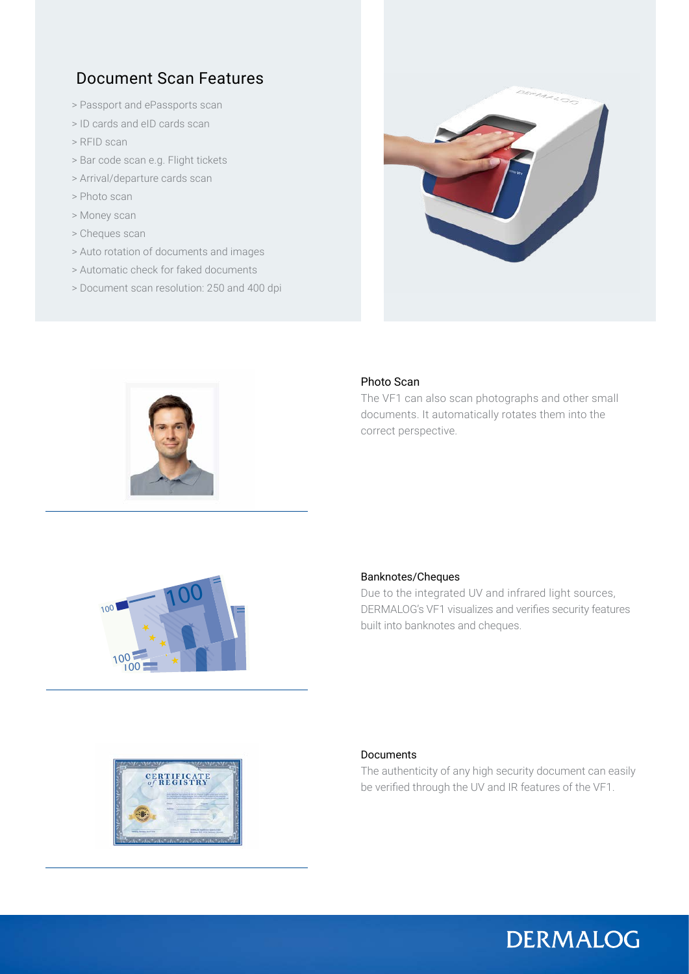### Document Scan Features

- > Passport and ePassports scan
- > ID cards and eID cards scan
- > RFID scan
- > Bar code scan e.g. Flight tickets
- > Arrival/departure cards scan
- > Photo scan
- > Money scan
- > Cheques scan
- > Auto rotation of documents and images
- > Automatic check for faked documents
- > Document scan resolution: 250 and 400 dpi





#### Photo Scan

The VF1 can also scan photographs and other small documents. It automatically rotates them into the correct perspective.



#### Banknotes/Cheques

Due to the integrated UV and infrared light sources, DERMALOG's VF1 visualizes and verifies security features built into banknotes and cheques.



#### Documents

The authenticity of any high security document can easily be verified through the UV and IR features of the VF1.

# **DERMALOG**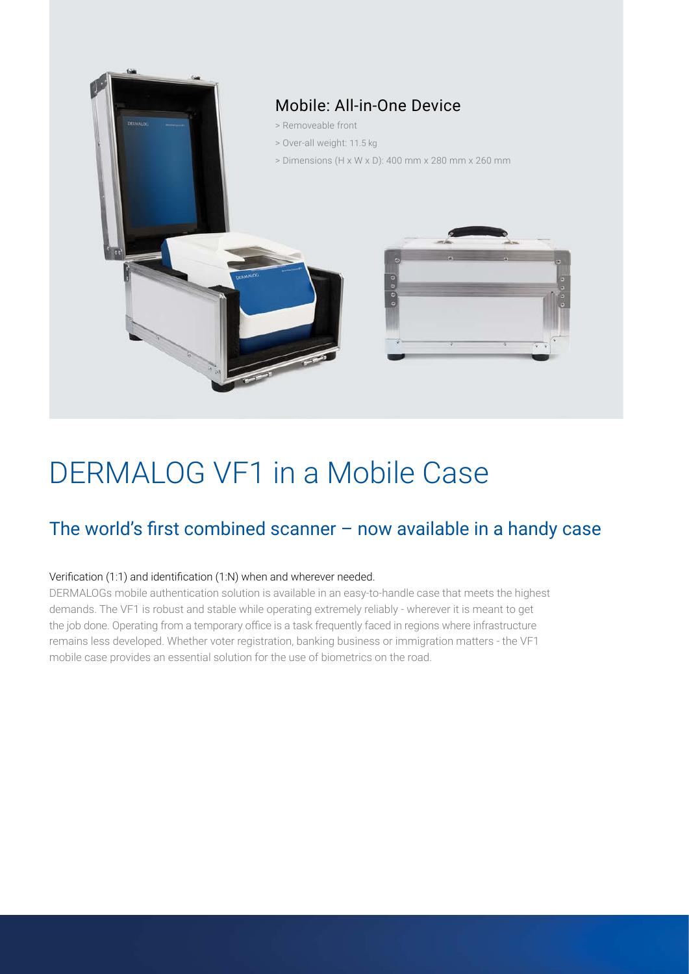

# DERMALOG VF1 in a Mobile Case

## The world's first combined scanner – now available in a handy case

#### Verification (1:1) and identification (1:N) when and wherever needed.

DERMALOGs mobile authentication solution is available in an easy-to-handle case that meets the highest demands. The VF1 is robust and stable while operating extremely reliably - wherever it is meant to get the job done. Operating from a temporary office is a task frequently faced in regions where infrastructure remains less developed. Whether voter registration, banking business or immigration matters - the VF1 mobile case provides an essential solution for the use of biometrics on the road.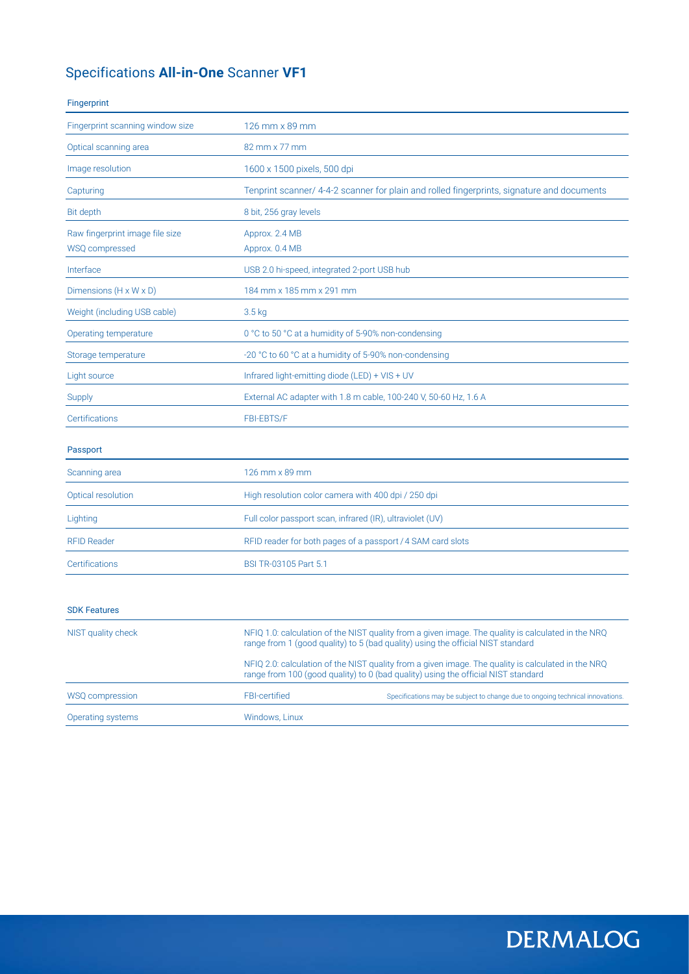### Specifications **All-in-One** Scanner **VF1**

#### Fingerprint

| Fingerprint scanning window size                  | 126 mm x 89 mm                                                                             |
|---------------------------------------------------|--------------------------------------------------------------------------------------------|
| Optical scanning area                             | 82 mm x 77 mm                                                                              |
| Image resolution                                  | 1600 x 1500 pixels, 500 dpi                                                                |
| Capturing                                         | Tenprint scanner/ 4-4-2 scanner for plain and rolled fingerprints, signature and documents |
| Bit depth                                         | 8 bit, 256 gray levels                                                                     |
| Raw fingerprint image file size<br>WSQ compressed | Approx. 2.4 MB<br>Approx. 0.4 MB                                                           |
| Interface                                         | USB 2.0 hi-speed, integrated 2-port USB hub                                                |
| Dimensions (H x W x D)                            | 184 mm x 185 mm x 291 mm                                                                   |
| Weight (including USB cable)                      | 3.5 kg                                                                                     |
| Operating temperature                             | 0 °C to 50 °C at a humidity of 5-90% non-condensing                                        |
| Storage temperature                               | -20 °C to 60 °C at a humidity of 5-90% non-condensing                                      |
| Light source                                      | Infrared light-emitting diode (LED) + VIS + UV                                             |
| Supply                                            | External AC adapter with 1.8 m cable, 100-240 V, 50-60 Hz, 1.6 A                           |
| Certifications                                    | <b>FBI-EBTS/F</b>                                                                          |
| Passport                                          |                                                                                            |
| Scanning area                                     | 126 mm x 89 mm                                                                             |
| Optical resolution                                | High resolution color camera with 400 dpi / 250 dpi                                        |
| Lighting                                          | Full color passport scan, infrared (IR), ultraviolet (UV)                                  |
| <b>RFID Reader</b>                                | RFID reader for both pages of a passport / 4 SAM card slots                                |
| Certifications                                    | BSI TR-03105 Part 5.1                                                                      |
|                                                   |                                                                                            |
| <b>SDK Features</b>                               |                                                                                            |

| NIST quality check |                      | NFIQ 1.0: calculation of the NIST quality from a given image. The quality is calculated in the NRQ<br>range from 1 (good quality) to 5 (bad quality) using the official NIST standard   |
|--------------------|----------------------|-----------------------------------------------------------------------------------------------------------------------------------------------------------------------------------------|
|                    |                      | NFIQ 2.0: calculation of the NIST quality from a given image. The quality is calculated in the NRQ<br>range from 100 (good quality) to 0 (bad quality) using the official NIST standard |
| WSQ compression    | <b>FBI-certified</b> | Specifications may be subject to change due to ongoing technical innovations.                                                                                                           |
| Operating systems  | Windows, Linux       |                                                                                                                                                                                         |